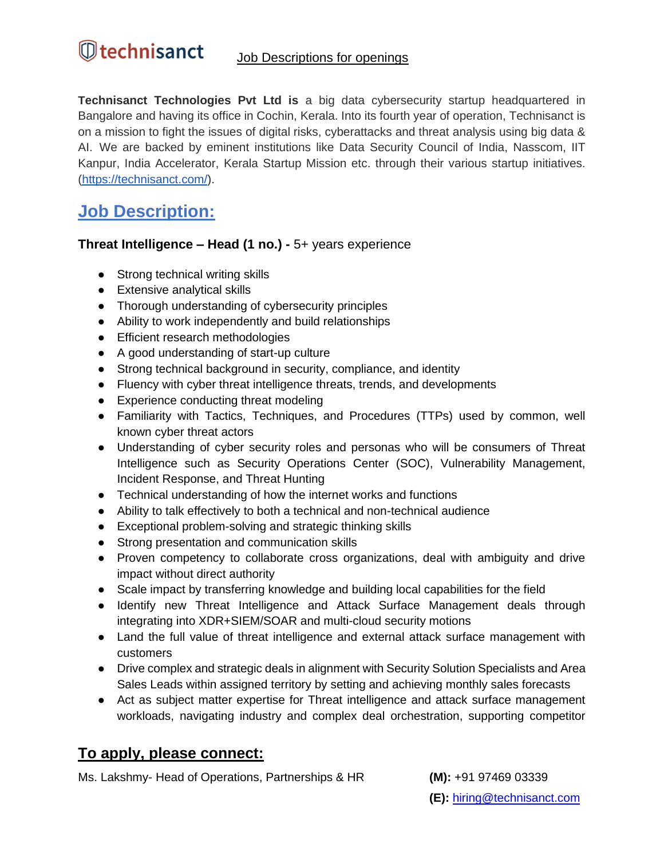**Technisanct Technologies Pvt Ltd is** a big data cybersecurity startup headquartered in Bangalore and having its office in Cochin, Kerala. Into its fourth year of operation, Technisanct is on a mission to fight the issues of digital risks, cyberattacks and threat analysis using big data & AI. We are backed by eminent institutions like Data Security Council of India, Nasscom, IIT Kanpur, India Accelerator, Kerala Startup Mission etc. through their various startup initiatives. ([https://technisanct.com/\)](https://technisanct.com/).

## **Job Description:**

## **Threat Intelligence – Head (1 no.) -** 5+ years experience

- Strong technical writing skills
- Extensive analytical skills
- Thorough understanding of cybersecurity principles
- Ability to work independently and build relationships
- Efficient research methodologies
- A good understanding of start-up culture
- Strong technical background in security, compliance, and identity
- Fluency with cyber threat intelligence threats, trends, and developments
- Experience conducting threat modeling
- Familiarity with Tactics, Techniques, and Procedures (TTPs) used by common, well known cyber threat actors
- Understanding of cyber security roles and personas who will be consumers of Threat Intelligence such as Security Operations Center (SOC), Vulnerability Management, Incident Response, and Threat Hunting
- Technical understanding of how the internet works and functions
- Ability to talk effectively to both a technical and non-technical audience
- Exceptional problem-solving and strategic thinking skills
- Strong presentation and communication skills
- Proven competency to collaborate cross organizations, deal with ambiguity and drive impact without direct authority
- Scale impact by transferring knowledge and building local capabilities for the field
- Identify new Threat Intelligence and Attack Surface Management deals through integrating into XDR+SIEM/SOAR and multi-cloud security motions
- Land the full value of threat intelligence and external attack surface management with customers
- Drive complex and strategic deals in alignment with Security Solution Specialists and Area Sales Leads within assigned territory by setting and achieving monthly sales forecasts
- Act as subject matter expertise for Threat intelligence and attack surface management workloads, navigating industry and complex deal orchestration, supporting competitor

## **To apply, please connect:**

Ms. Lakshmy- Head of Operations, Partnerships & HR **(M):** +91 97469 03339

**(E):** [hiring@technisanct.com](mailto:hiring@technisanct.com)